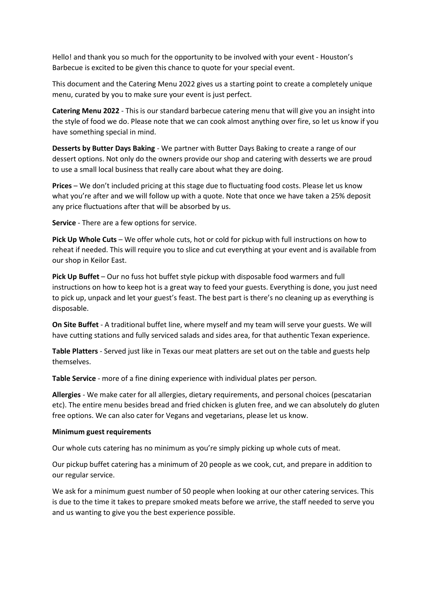Hello! and thank you so much for the opportunity to be involved with your event - Houston's Barbecue is excited to be given this chance to quote for your special event.

This document and the Catering Menu 2022 gives us a starting point to create a completely unique menu, curated by you to make sure your event is just perfect.

**Catering Menu 2022** - This is our standard barbecue catering menu that will give you an insight into the style of food we do. Please note that we can cook almost anything over fire, so let us know if you have something special in mind.

**Desserts by Butter Days Baking** - We partner with Butter Days Baking to create a range of our dessert options. Not only do the owners provide our shop and catering with desserts we are proud to use a small local business that really care about what they are doing.

**Prices** – We don't included pricing at this stage due to fluctuating food costs. Please let us know what you're after and we will follow up with a quote. Note that once we have taken a 25% deposit any price fluctuations after that will be absorbed by us.

**Service** - There are a few options for service.

**Pick Up Whole Cuts** – We offer whole cuts, hot or cold for pickup with full instructions on how to reheat if needed. This will require you to slice and cut everything at your event and is available from our shop in Keilor East.

**Pick Up Buffet** – Our no fuss hot buffet style pickup with disposable food warmers and full instructions on how to keep hot is a great way to feed your guests. Everything is done, you just need to pick up, unpack and let your guest's feast. The best part is there's no cleaning up as everything is disposable.

**On Site Buffet** - A traditional buffet line, where myself and my team will serve your guests. We will have cutting stations and fully serviced salads and sides area, for that authentic Texan experience.

**Table Platters** - Served just like in Texas our meat platters are set out on the table and guests help themselves.

**Table Service** - more of a fine dining experience with individual plates per person.

**Allergies** - We make cater for all allergies, dietary requirements, and personal choices (pescatarian etc). The entire menu besides bread and fried chicken is gluten free, and we can absolutely do gluten free options. We can also cater for Vegans and vegetarians, please let us know.

## **Minimum guest requirements**

Our whole cuts catering has no minimum as you're simply picking up whole cuts of meat.

Our pickup buffet catering has a minimum of 20 people as we cook, cut, and prepare in addition to our regular service.

We ask for a minimum guest number of 50 people when looking at our other catering services. This is due to the time it takes to prepare smoked meats before we arrive, the staff needed to serve you and us wanting to give you the best experience possible.